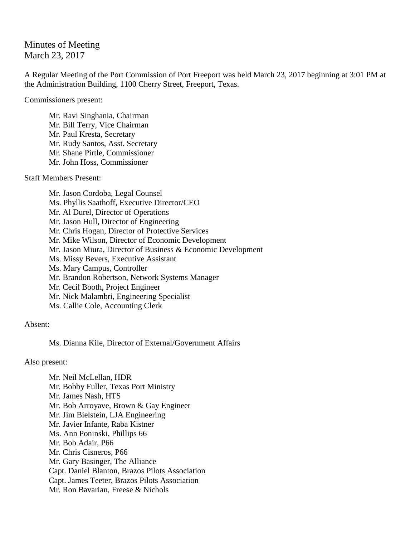## Minutes of Meeting March 23, 2017

A Regular Meeting of the Port Commission of Port Freeport was held March 23, 2017 beginning at 3:01 PM at the Administration Building, 1100 Cherry Street, Freeport, Texas.

Commissioners present:

Mr. Ravi Singhania, Chairman Mr. Bill Terry, Vice Chairman Mr. Paul Kresta, Secretary Mr. Rudy Santos, Asst. Secretary Mr. Shane Pirtle, Commissioner Mr. John Hoss, Commissioner

Staff Members Present:

Mr. Jason Cordoba, Legal Counsel Ms. Phyllis Saathoff, Executive Director/CEO Mr. Al Durel, Director of Operations Mr. Jason Hull, Director of Engineering Mr. Chris Hogan, Director of Protective Services Mr. Mike Wilson, Director of Economic Development Mr. Jason Miura, Director of Business & Economic Development Ms. Missy Bevers, Executive Assistant Ms. Mary Campus, Controller Mr. Brandon Robertson, Network Systems Manager Mr. Cecil Booth, Project Engineer Mr. Nick Malambri, Engineering Specialist Ms. Callie Cole, Accounting Clerk

## Absent:

Ms. Dianna Kile, Director of External/Government Affairs

Also present:

Mr. Neil McLellan, HDR Mr. Bobby Fuller, Texas Port Ministry Mr. James Nash, HTS Mr. Bob Arroyave, Brown & Gay Engineer Mr. Jim Bielstein, LJA Engineering Mr. Javier Infante, Raba Kistner Ms. Ann Poninski, Phillips 66 Mr. Bob Adair, P66 Mr. Chris Cisneros, P66 Mr. Gary Basinger, The Alliance Capt. Daniel Blanton, Brazos Pilots Association Capt. James Teeter, Brazos Pilots Association Mr. Ron Bavarian, Freese & Nichols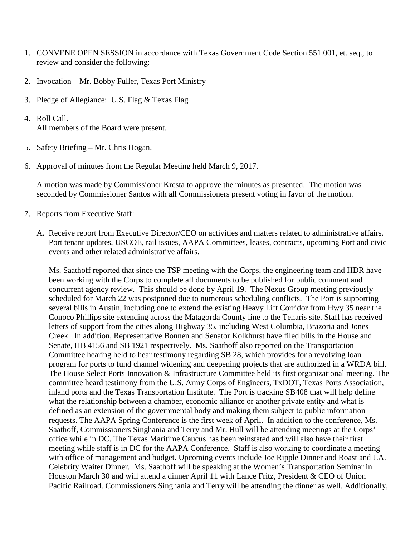- 1. CONVENE OPEN SESSION in accordance with Texas Government Code Section 551.001, et. seq., to review and consider the following:
- 2. Invocation Mr. Bobby Fuller, Texas Port Ministry
- 3. Pledge of Allegiance: U.S. Flag & Texas Flag
- 4. Roll Call. All members of the Board were present.
- 5. Safety Briefing Mr. Chris Hogan.
- 6. Approval of minutes from the Regular Meeting held March 9, 2017.

A motion was made by Commissioner Kresta to approve the minutes as presented. The motion was seconded by Commissioner Santos with all Commissioners present voting in favor of the motion.

- 7. Reports from Executive Staff:
	- A. Receive report from Executive Director/CEO on activities and matters related to administrative affairs. Port tenant updates, USCOE, rail issues, AAPA Committees, leases, contracts, upcoming Port and civic events and other related administrative affairs.

Ms. Saathoff reported that since the TSP meeting with the Corps, the engineering team and HDR have been working with the Corps to complete all documents to be published for public comment and concurrent agency review. This should be done by April 19. The Nexus Group meeting previously scheduled for March 22 was postponed due to numerous scheduling conflicts. The Port is supporting several bills in Austin, including one to extend the existing Heavy Lift Corridor from Hwy 35 near the Conoco Phillips site extending across the Matagorda County line to the Tenaris site. Staff has received letters of support from the cities along Highway 35, including West Columbia, Brazoria and Jones Creek. In addition, Representative Bonnen and Senator Kolkhurst have filed bills in the House and Senate, HB 4156 and SB 1921 respectively. Ms. Saathoff also reported on the Transportation Committee hearing held to hear testimony regarding SB 28, which provides for a revolving loan program for ports to fund channel widening and deepening projects that are authorized in a WRDA bill. The House Select Ports Innovation & Infrastructure Committee held its first organizational meeting. The committee heard testimony from the U.S. Army Corps of Engineers, TxDOT, Texas Ports Association, inland ports and the Texas Transportation Institute. The Port is tracking SB408 that will help define what the relationship between a chamber, economic alliance or another private entity and what is defined as an extension of the governmental body and making them subject to public information requests. The AAPA Spring Conference is the first week of April. In addition to the conference, Ms. Saathoff, Commissioners Singhania and Terry and Mr. Hull will be attending meetings at the Corps' office while in DC. The Texas Maritime Caucus has been reinstated and will also have their first meeting while staff is in DC for the AAPA Conference. Staff is also working to coordinate a meeting with office of management and budget. Upcoming events include Joe Ripple Dinner and Roast and J.A. Celebrity Waiter Dinner. Ms. Saathoff will be speaking at the Women's Transportation Seminar in Houston March 30 and will attend a dinner April 11 with Lance Fritz, President & CEO of Union Pacific Railroad. Commissioners Singhania and Terry will be attending the dinner as well. Additionally,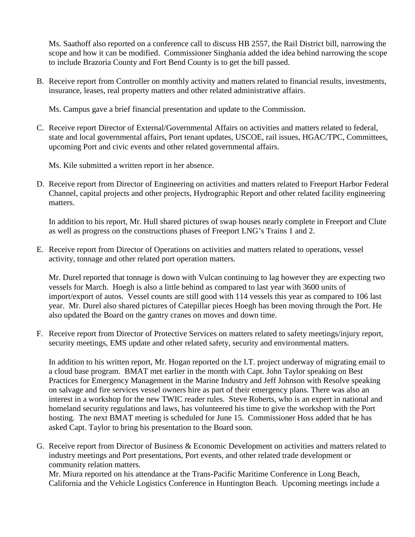Ms. Saathoff also reported on a conference call to discuss HB 2557, the Rail District bill, narrowing the scope and how it can be modified. Commissioner Singhania added the idea behind narrowing the scope to include Brazoria County and Fort Bend County is to get the bill passed.

B. Receive report from Controller on monthly activity and matters related to financial results, investments, insurance, leases, real property matters and other related administrative affairs.

Ms. Campus gave a brief financial presentation and update to the Commission.

C. Receive report Director of External/Governmental Affairs on activities and matters related to federal, state and local governmental affairs, Port tenant updates, USCOE, rail issues, HGAC/TPC, Committees, upcoming Port and civic events and other related governmental affairs.

Ms. Kile submitted a written report in her absence.

D. Receive report from Director of Engineering on activities and matters related to Freeport Harbor Federal Channel, capital projects and other projects, Hydrographic Report and other related facility engineering matters.

In addition to his report, Mr. Hull shared pictures of swap houses nearly complete in Freeport and Clute as well as progress on the constructions phases of Freeport LNG's Trains 1 and 2.

E. Receive report from Director of Operations on activities and matters related to operations, vessel activity, tonnage and other related port operation matters.

Mr. Durel reported that tonnage is down with Vulcan continuing to lag however they are expecting two vessels for March. Hoegh is also a little behind as compared to last year with 3600 units of import/export of autos. Vessel counts are still good with 114 vessels this year as compared to 106 last year. Mr. Durel also shared pictures of Catepillar pieces Hoegh has been moving through the Port. He also updated the Board on the gantry cranes on moves and down time.

F. Receive report from Director of Protective Services on matters related to safety meetings/injury report, security meetings, EMS update and other related safety, security and environmental matters.

In addition to his written report, Mr. Hogan reported on the I.T. project underway of migrating email to a cloud base program. BMAT met earlier in the month with Capt. John Taylor speaking on Best Practices for Emergency Management in the Marine Industry and Jeff Johnson with Resolve speaking on salvage and fire services vessel owners hire as part of their emergency plans. There was also an interest in a workshop for the new TWIC reader rules. Steve Roberts, who is an expert in national and homeland security regulations and laws, has volunteered his time to give the workshop with the Port hosting. The next BMAT meeting is scheduled for June 15. Commissioner Hoss added that he has asked Capt. Taylor to bring his presentation to the Board soon.

G. Receive report from Director of Business & Economic Development on activities and matters related to industry meetings and Port presentations, Port events, and other related trade development or community relation matters.

Mr. Miura reported on his attendance at the Trans-Pacific Maritime Conference in Long Beach, California and the Vehicle Logistics Conference in Huntington Beach. Upcoming meetings include a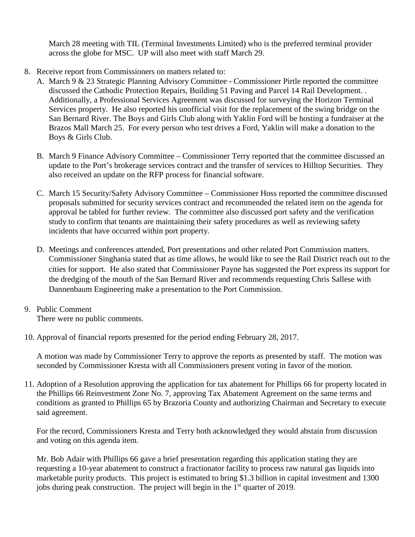March 28 meeting with TIL (Terminal Investments Limited) who is the preferred terminal provider across the globe for MSC. UP will also meet with staff March 29.

- 8. Receive report from Commissioners on matters related to:
	- A. March 9 & 23 Strategic Planning Advisory Committee Commissioner Pirtle reported the committee discussed the Cathodic Protection Repairs, Building 51 Paving and Parcel 14 Rail Development. . Additionally, a Professional Services Agreement was discussed for surveying the Horizon Terminal Services property. He also reported his unofficial visit for the replacement of the swing bridge on the San Bernard River. The Boys and Girls Club along with Yaklin Ford will be hosting a fundraiser at the Brazos Mall March 25. For every person who test drives a Ford, Yaklin will make a donation to the Boys & Girls Club.
	- B. March 9 Finance Advisory Committee Commissioner Terry reported that the committee discussed an update to the Port's brokerage services contract and the transfer of services to Hilltop Securities. They also received an update on the RFP process for financial software.
	- C. March 15 Security/Safety Advisory Committee Commissioner Hoss reported the committee discussed proposals submitted for security services contract and recommended the related item on the agenda for approval be tabled for further review. The committee also discussed port safety and the verification study to confirm that tenants are maintaining their safety procedures as well as reviewing safety incidents that have occurred within port property.
	- D. Meetings and conferences attended, Port presentations and other related Port Commission matters. Commissioner Singhania stated that as time allows, he would like to see the Rail District reach out to the cities for support. He also stated that Commissioner Payne has suggested the Port express its support for the dredging of the mouth of the San Bernard River and recommends requesting Chris Sallese with Dannenbaum Engineering make a presentation to the Port Commission.

## 9. Public Comment

There were no public comments.

10. Approval of financial reports presented for the period ending February 28, 2017.

A motion was made by Commissioner Terry to approve the reports as presented by staff. The motion was seconded by Commissioner Kresta with all Commissioners present voting in favor of the motion.

11. Adoption of a Resolution approving the application for tax abatement for Phillips 66 for property located in the Phillips 66 Reinvestment Zone No. 7, approving Tax Abatement Agreement on the same terms and conditions as granted to Phillips 65 by Brazoria County and authorizing Chairman and Secretary to execute said agreement.

For the record, Commissioners Kresta and Terry both acknowledged they would abstain from discussion and voting on this agenda item.

Mr. Bob Adair with Phillips 66 gave a brief presentation regarding this application stating they are requesting a 10-year abatement to construct a fractionator facility to process raw natural gas liquids into marketable purity products. This project is estimated to bring \$1.3 billion in capital investment and 1300 jobs during peak construction. The project will begin in the 1<sup>st</sup> quarter of 2019.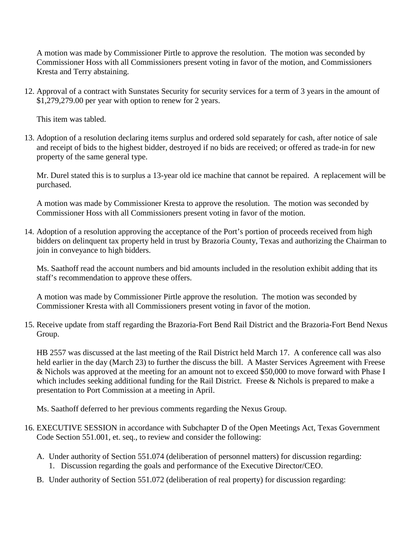A motion was made by Commissioner Pirtle to approve the resolution. The motion was seconded by Commissioner Hoss with all Commissioners present voting in favor of the motion, and Commissioners Kresta and Terry abstaining.

12. Approval of a contract with Sunstates Security for security services for a term of 3 years in the amount of \$1,279,279.00 per year with option to renew for 2 years.

This item was tabled.

13. Adoption of a resolution declaring items surplus and ordered sold separately for cash, after notice of sale and receipt of bids to the highest bidder, destroyed if no bids are received; or offered as trade-in for new property of the same general type.

Mr. Durel stated this is to surplus a 13-year old ice machine that cannot be repaired. A replacement will be purchased.

A motion was made by Commissioner Kresta to approve the resolution. The motion was seconded by Commissioner Hoss with all Commissioners present voting in favor of the motion.

14. Adoption of a resolution approving the acceptance of the Port's portion of proceeds received from high bidders on delinquent tax property held in trust by Brazoria County, Texas and authorizing the Chairman to join in conveyance to high bidders.

Ms. Saathoff read the account numbers and bid amounts included in the resolution exhibit adding that its staff's recommendation to approve these offers.

A motion was made by Commissioner Pirtle approve the resolution. The motion was seconded by Commissioner Kresta with all Commissioners present voting in favor of the motion.

15. Receive update from staff regarding the Brazoria-Fort Bend Rail District and the Brazoria-Fort Bend Nexus Group.

HB 2557 was discussed at the last meeting of the Rail District held March 17. A conference call was also held earlier in the day (March 23) to further the discuss the bill. A Master Services Agreement with Freese & Nichols was approved at the meeting for an amount not to exceed \$50,000 to move forward with Phase I which includes seeking additional funding for the Rail District. Freese & Nichols is prepared to make a presentation to Port Commission at a meeting in April.

Ms. Saathoff deferred to her previous comments regarding the Nexus Group.

- 16. EXECUTIVE SESSION in accordance with Subchapter D of the Open Meetings Act, Texas Government Code Section 551.001, et. seq., to review and consider the following:
	- A. Under authority of Section 551.074 (deliberation of personnel matters) for discussion regarding: 1. Discussion regarding the goals and performance of the Executive Director/CEO.
	- B. Under authority of Section 551.072 (deliberation of real property) for discussion regarding: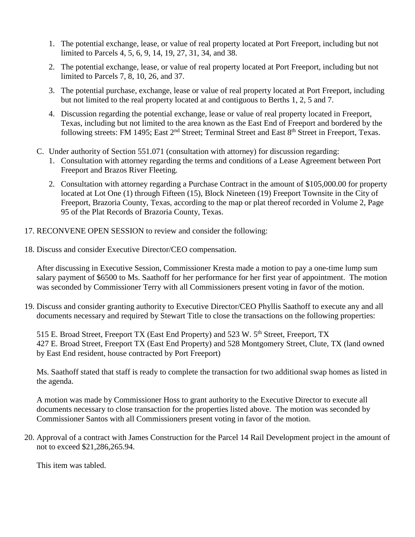- 1. The potential exchange, lease, or value of real property located at Port Freeport, including but not limited to Parcels 4, 5, 6, 9, 14, 19, 27, 31, 34, and 38.
- 2. The potential exchange, lease, or value of real property located at Port Freeport, including but not limited to Parcels 7, 8, 10, 26, and 37.
- 3. The potential purchase, exchange, lease or value of real property located at Port Freeport, including but not limited to the real property located at and contiguous to Berths 1, 2, 5 and 7.
- 4. Discussion regarding the potential exchange, lease or value of real property located in Freeport, Texas, including but not limited to the area known as the East End of Freeport and bordered by the following streets: FM 1495; East 2<sup>nd</sup> Street; Terminal Street and East 8<sup>th</sup> Street in Freeport, Texas.
- C. Under authority of Section 551.071 (consultation with attorney) for discussion regarding:
	- 1. Consultation with attorney regarding the terms and conditions of a Lease Agreement between Port Freeport and Brazos River Fleeting.
	- 2. Consultation with attorney regarding a Purchase Contract in the amount of \$105,000.00 for property located at Lot One (1) through Fifteen (15), Block Nineteen (19) Freeport Townsite in the City of Freeport, Brazoria County, Texas, according to the map or plat thereof recorded in Volume 2, Page 95 of the Plat Records of Brazoria County, Texas.
- 17. RECONVENE OPEN SESSION to review and consider the following:
- 18. Discuss and consider Executive Director/CEO compensation.

After discussing in Executive Session, Commissioner Kresta made a motion to pay a one-time lump sum salary payment of \$6500 to Ms. Saathoff for her performance for her first year of appointment. The motion was seconded by Commissioner Terry with all Commissioners present voting in favor of the motion.

19. Discuss and consider granting authority to Executive Director/CEO Phyllis Saathoff to execute any and all documents necessary and required by Stewart Title to close the transactions on the following properties:

515 E. Broad Street, Freeport TX (East End Property) and 523 W. 5<sup>th</sup> Street, Freeport, TX 427 E. Broad Street, Freeport TX (East End Property) and 528 Montgomery Street, Clute, TX (land owned by East End resident, house contracted by Port Freeport)

Ms. Saathoff stated that staff is ready to complete the transaction for two additional swap homes as listed in the agenda.

A motion was made by Commissioner Hoss to grant authority to the Executive Director to execute all documents necessary to close transaction for the properties listed above. The motion was seconded by Commissioner Santos with all Commissioners present voting in favor of the motion.

20. Approval of a contract with James Construction for the Parcel 14 Rail Development project in the amount of not to exceed \$21,286,265.94.

This item was tabled.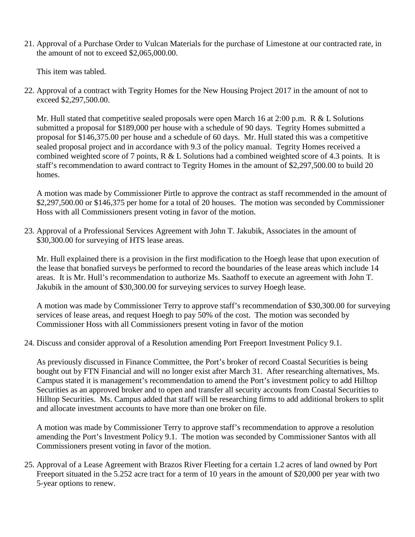21. Approval of a Purchase Order to Vulcan Materials for the purchase of Limestone at our contracted rate, in the amount of not to exceed \$2,065,000.00.

This item was tabled.

22. Approval of a contract with Tegrity Homes for the New Housing Project 2017 in the amount of not to exceed \$2,297,500.00.

Mr. Hull stated that competitive sealed proposals were open March 16 at 2:00 p.m. R & L Solutions submitted a proposal for \$189,000 per house with a schedule of 90 days. Tegrity Homes submitted a proposal for \$146,375.00 per house and a schedule of 60 days. Mr. Hull stated this was a competitive sealed proposal project and in accordance with 9.3 of the policy manual. Tegrity Homes received a combined weighted score of 7 points, R & L Solutions had a combined weighted score of 4.3 points. It is staff's recommendation to award contract to Tegrity Homes in the amount of \$2,297,500.00 to build 20 homes.

A motion was made by Commissioner Pirtle to approve the contract as staff recommended in the amount of \$2,297,500.00 or \$146,375 per home for a total of 20 houses. The motion was seconded by Commissioner Hoss with all Commissioners present voting in favor of the motion.

23. Approval of a Professional Services Agreement with John T. Jakubik, Associates in the amount of \$30,300.00 for surveying of HTS lease areas.

Mr. Hull explained there is a provision in the first modification to the Hoegh lease that upon execution of the lease that bonafied surveys be performed to record the boundaries of the lease areas which include 14 areas. It is Mr. Hull's recommendation to authorize Ms. Saathoff to execute an agreement with John T. Jakubik in the amount of \$30,300.00 for surveying services to survey Hoegh lease.

A motion was made by Commissioner Terry to approve staff's recommendation of \$30,300.00 for surveying services of lease areas, and request Hoegh to pay 50% of the cost. The motion was seconded by Commissioner Hoss with all Commissioners present voting in favor of the motion

24. Discuss and consider approval of a Resolution amending Port Freeport Investment Policy 9.1.

As previously discussed in Finance Committee, the Port's broker of record Coastal Securities is being bought out by FTN Financial and will no longer exist after March 31. After researching alternatives, Ms. Campus stated it is management's recommendation to amend the Port's investment policy to add Hilltop Securities as an approved broker and to open and transfer all security accounts from Coastal Securities to Hilltop Securities. Ms. Campus added that staff will be researching firms to add additional brokers to split and allocate investment accounts to have more than one broker on file.

A motion was made by Commissioner Terry to approve staff's recommendation to approve a resolution amending the Port's Investment Policy 9.1. The motion was seconded by Commissioner Santos with all Commissioners present voting in favor of the motion.

25. Approval of a Lease Agreement with Brazos River Fleeting for a certain 1.2 acres of land owned by Port Freeport situated in the 5.252 acre tract for a term of 10 years in the amount of \$20,000 per year with two 5-year options to renew.